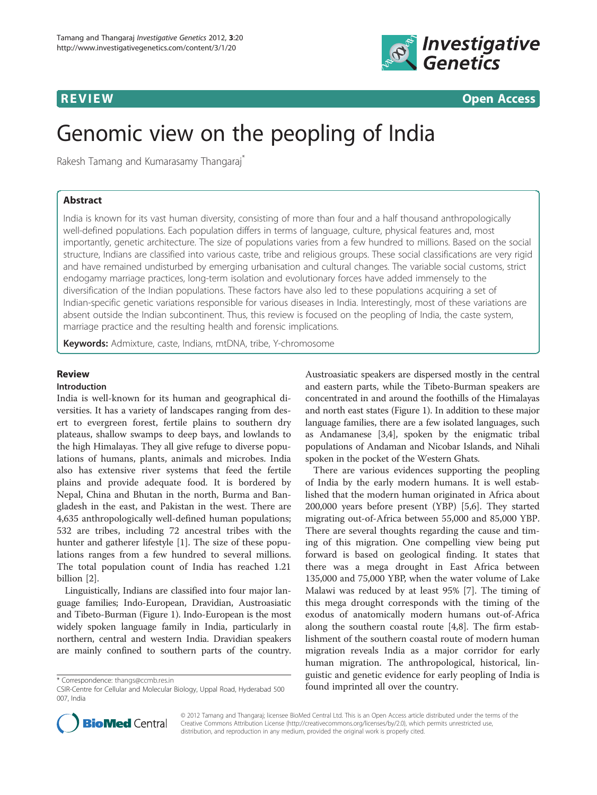

**REVIEW CONSIDERING CONSIDERING CONSIDERING CONSIDERING CONSIDERING CONSIDERING CONSIDERING CONSIDERING CONSIDERING CONSIDERING CONSIDERING CONSIDERING CONSIDERING CONSIDERING CONSIDERING CONSIDERING CONSIDERING CONSIDER** 

# Genomic view on the peopling of India

Rakesh Tamang and Kumarasamy Thangaraj

# Abstract

India is known for its vast human diversity, consisting of more than four and a half thousand anthropologically well-defined populations. Each population differs in terms of language, culture, physical features and, most importantly, genetic architecture. The size of populations varies from a few hundred to millions. Based on the social structure, Indians are classified into various caste, tribe and religious groups. These social classifications are very rigid and have remained undisturbed by emerging urbanisation and cultural changes. The variable social customs, strict endogamy marriage practices, long-term isolation and evolutionary forces have added immensely to the diversification of the Indian populations. These factors have also led to these populations acquiring a set of Indian-specific genetic variations responsible for various diseases in India. Interestingly, most of these variations are absent outside the Indian subcontinent. Thus, this review is focused on the peopling of India, the caste system, marriage practice and the resulting health and forensic implications.

Keywords: Admixture, caste, Indians, mtDNA, tribe, Y-chromosome

### Review

#### Introduction

India is well-known for its human and geographical diversities. It has a variety of landscapes ranging from desert to evergreen forest, fertile plains to southern dry plateaus, shallow swamps to deep bays, and lowlands to the high Himalayas. They all give refuge to diverse populations of humans, plants, animals and microbes. India also has extensive river systems that feed the fertile plains and provide adequate food. It is bordered by Nepal, China and Bhutan in the north, Burma and Bangladesh in the east, and Pakistan in the west. There are 4,635 anthropologically well-defined human populations; 532 are tribes, including 72 ancestral tribes with the hunter and gatherer lifestyle [[1](#page-6-0)]. The size of these populations ranges from a few hundred to several millions. The total population count of India has reached 1.21 billion [[2\]](#page-6-0).

Linguistically, Indians are classified into four major language families; Indo-European, Dravidian, Austroasiatic and Tibeto-Burman (Figure [1](#page-1-0)). Indo-European is the most widely spoken language family in India, particularly in northern, central and western India. Dravidian speakers are mainly confined to southern parts of the country. Austroasiatic speakers are dispersed mostly in the central and eastern parts, while the Tibeto-Burman speakers are concentrated in and around the foothills of the Himalayas and north east states (Figure [1](#page-1-0)). In addition to these major language families, there are a few isolated languages, such as Andamanese [\[3,4\]](#page-6-0), spoken by the enigmatic tribal populations of Andaman and Nicobar Islands, and Nihali spoken in the pocket of the Western Ghats.

There are various evidences supporting the peopling of India by the early modern humans. It is well established that the modern human originated in Africa about 200,000 years before present (YBP) [[5](#page-6-0),[6](#page-6-0)]. They started migrating out-of-Africa between 55,000 and 85,000 YBP. There are several thoughts regarding the cause and timing of this migration. One compelling view being put forward is based on geological finding. It states that there was a mega drought in East Africa between 135,000 and 75,000 YBP, when the water volume of Lake Malawi was reduced by at least 95% [[7\]](#page-6-0). The timing of this mega drought corresponds with the timing of the exodus of anatomically modern humans out-of-Africa along the southern coastal route [\[4,8](#page-6-0)]. The firm establishment of the southern coastal route of modern human migration reveals India as a major corridor for early human migration. The anthropological, historical, linguistic and genetic evidence for early peopling of India is found imprinted all over the country.



© 2012 Tamang and Thangaraj; licensee BioMed Central Ltd. This is an Open Access article distributed under the terms of the Creative Commons Attribution License (<http://creativecommons.org/licenses/by/2.0>), which permits unrestricted use, distribution, and reproduction in any medium, provided the original work is properly cited.

<sup>\*</sup> Correspondence: [thangs@ccmb.res.in](mailto:thangs@ccmb.res.in)

CSIR-Centre for Cellular and Molecular Biology, Uppal Road, Hyderabad 500 007, India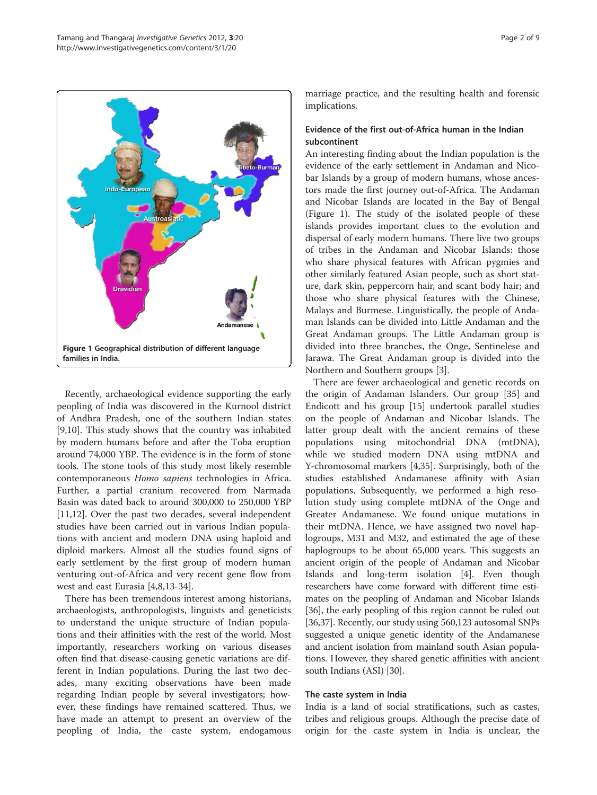<span id="page-1-0"></span>

Recently, archaeological evidence supporting the early peopling of India was discovered in the Kurnool district of Andhra Pradesh, one of the southern Indian states [[9,10\]](#page-6-0). This study shows that the country was inhabited by modern humans before and after the Toba eruption around 74,000 YBP. The evidence is in the form of stone tools. The stone tools of this study most likely resemble contemporaneous Homo sapiens technologies in Africa. Further, a partial cranium recovered from Narmada Basin was dated back to around 300,000 to 250,000 YBP [[11,12\]](#page-6-0). Over the past two decades, several independent studies have been carried out in various Indian populations with ancient and modern DNA using haploid and diploid markers. Almost all the studies found signs of early settlement by the first group of modern human venturing out-of-Africa and very recent gene flow from west and east Eurasia [\[4,8](#page-6-0),[13](#page-6-0)-[34\]](#page-7-0).

There has been tremendous interest among historians, archaeologists, anthropologists, linguists and geneticists to understand the unique structure of Indian populations and their affinities with the rest of the world. Most importantly, researchers working on various diseases often find that disease-causing genetic variations are different in Indian populations. During the last two decades, many exciting observations have been made regarding Indian people by several investigators; however, these findings have remained scattered. Thus, we have made an attempt to present an overview of the peopling of India, the caste system, endogamous

marriage practice, and the resulting health and forensic implications.

## Evidence of the first out-of-Africa human in the Indian subcontinent

An interesting finding about the Indian population is the evidence of the early settlement in Andaman and Nicobar Islands by a group of modern humans, whose ancestors made the first journey out-of-Africa. The Andaman and Nicobar Islands are located in the Bay of Bengal (Figure 1). The study of the isolated people of these islands provides important clues to the evolution and dispersal of early modern humans. There live two groups of tribes in the Andaman and Nicobar Islands: those who share physical features with African pygmies and other similarly featured Asian people, such as short stature, dark skin, peppercorn hair, and scant body hair; and those who share physical features with the Chinese, Malays and Burmese. Linguistically, the people of Andaman Islands can be divided into Little Andaman and the Great Andaman groups. The Little Andaman group is divided into three branches, the Onge, Sentinelese and Jarawa. The Great Andaman group is divided into the Northern and Southern groups [\[3](#page-6-0)].

There are fewer archaeological and genetic records on the origin of Andaman Islanders. Our group [[35\]](#page-7-0) and Endicott and his group [[15](#page-6-0)] undertook parallel studies on the people of Andaman and Nicobar Islands. The latter group dealt with the ancient remains of these populations using mitochondrial DNA (mtDNA), while we studied modern DNA using mtDNA and Y-chromosomal markers [\[4](#page-6-0)[,35](#page-7-0)]. Surprisingly, both of the studies established Andamanese affinity with Asian populations. Subsequently, we performed a high resolution study using complete mtDNA of the Onge and Greater Andamanese. We found unique mutations in their mtDNA. Hence, we have assigned two novel haplogroups, M31 and M32, and estimated the age of these haplogroups to be about 65,000 years. This suggests an ancient origin of the people of Andaman and Nicobar Islands and long-term isolation [[4\]](#page-6-0). Even though researchers have come forward with different time estimates on the peopling of Andaman and Nicobar Islands [[36](#page-7-0)], the early peopling of this region cannot be ruled out [[36](#page-7-0),[37](#page-7-0)]. Recently, our study using 560,123 autosomal SNPs suggested a unique genetic identity of the Andamanese and ancient isolation from mainland south Asian populations. However, they shared genetic affinities with ancient south Indians (ASI) [[30](#page-7-0)].

### The caste system in India

India is a land of social stratifications, such as castes, tribes and religious groups. Although the precise date of origin for the caste system in India is unclear, the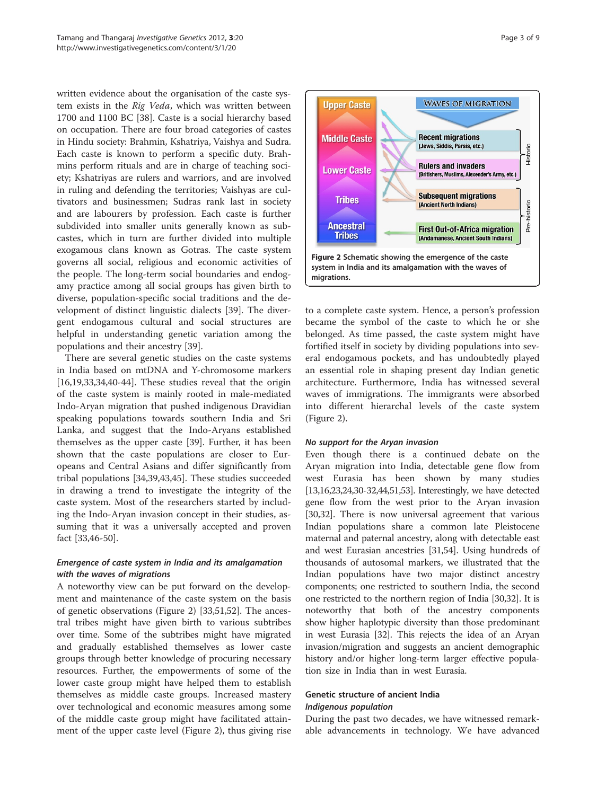written evidence about the organisation of the caste system exists in the Rig Veda, which was written between 1700 and 1100 BC [\[38](#page-7-0)]. Caste is a social hierarchy based on occupation. There are four broad categories of castes in Hindu society: Brahmin, Kshatriya, Vaishya and Sudra. Each caste is known to perform a specific duty. Brahmins perform rituals and are in charge of teaching society; Kshatriyas are rulers and warriors, and are involved in ruling and defending the territories; Vaishyas are cultivators and businessmen; Sudras rank last in society and are labourers by profession. Each caste is further subdivided into smaller units generally known as subcastes, which in turn are further divided into multiple exogamous clans known as Gotras. The caste system governs all social, religious and economic activities of the people. The long-term social boundaries and endogamy practice among all social groups has given birth to diverse, population-specific social traditions and the development of distinct linguistic dialects [[39\]](#page-7-0). The divergent endogamous cultural and social structures are helpful in understanding genetic variation among the populations and their ancestry [\[39](#page-7-0)].

There are several genetic studies on the caste systems in India based on mtDNA and Y-chromosome markers  $[16, 19, 33, 34, 40-44]$ . These studies reveal that the origin of the caste system is mainly rooted in male-mediated Indo-Aryan migration that pushed indigenous Dravidian speaking populations towards southern India and Sri Lanka, and suggest that the Indo-Aryans established themselves as the upper caste [\[39\]](#page-7-0). Further, it has been shown that the caste populations are closer to Europeans and Central Asians and differ significantly from tribal populations [[34,39](#page-7-0),[43](#page-7-0),[45](#page-7-0)]. These studies succeeded in drawing a trend to investigate the integrity of the caste system. Most of the researchers started by including the Indo-Aryan invasion concept in their studies, assuming that it was a universally accepted and proven fact [[33](#page-7-0),[46](#page-7-0)-[50\]](#page-7-0).

# Emergence of caste system in India and its amalgamation with the waves of migrations

A noteworthy view can be put forward on the development and maintenance of the caste system on the basis of genetic observations (Figure 2) [\[33,51,52](#page-7-0)]. The ancestral tribes might have given birth to various subtribes over time. Some of the subtribes might have migrated and gradually established themselves as lower caste groups through better knowledge of procuring necessary resources. Further, the empowerments of some of the lower caste group might have helped them to establish themselves as middle caste groups. Increased mastery over technological and economic measures among some of the middle caste group might have facilitated attainment of the upper caste level (Figure 2), thus giving rise



to a complete caste system. Hence, a person's profession became the symbol of the caste to which he or she belonged. As time passed, the caste system might have fortified itself in society by dividing populations into several endogamous pockets, and has undoubtedly played an essential role in shaping present day Indian genetic architecture. Furthermore, India has witnessed several waves of immigrations. The immigrants were absorbed into different hierarchal levels of the caste system (Figure 2).

### No support for the Aryan invasion

Even though there is a continued debate on the Aryan migration into India, detectable gene flow from west Eurasia has been shown by many studies [[13,16,23,24](#page-6-0)[,30-32,44,51,53](#page-7-0)]. Interestingly, we have detected gene flow from the west prior to the Aryan invasion [[30](#page-7-0),[32](#page-7-0)]. There is now universal agreement that various Indian populations share a common late Pleistocene maternal and paternal ancestry, along with detectable east and west Eurasian ancestries [[31,54](#page-7-0)]. Using hundreds of thousands of autosomal markers, we illustrated that the Indian populations have two major distinct ancestry components; one restricted to southern India, the second one restricted to the northern region of India [[30,32\]](#page-7-0). It is noteworthy that both of the ancestry components show higher haplotypic diversity than those predominant in west Eurasia [[32](#page-7-0)]. This rejects the idea of an Aryan invasion/migration and suggests an ancient demographic history and/or higher long-term larger effective population size in India than in west Eurasia.

#### Genetic structure of ancient India Indigenous population

During the past two decades, we have witnessed remarkable advancements in technology. We have advanced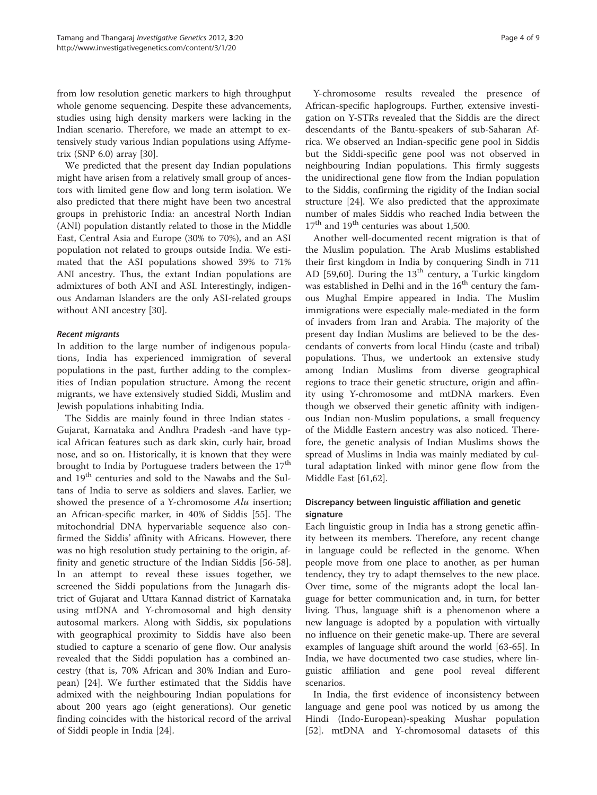from low resolution genetic markers to high throughput whole genome sequencing. Despite these advancements, studies using high density markers were lacking in the Indian scenario. Therefore, we made an attempt to extensively study various Indian populations using Affymetrix (SNP 6.0) array [[30\]](#page-7-0).

We predicted that the present day Indian populations might have arisen from a relatively small group of ancestors with limited gene flow and long term isolation. We also predicted that there might have been two ancestral groups in prehistoric India: an ancestral North Indian (ANI) population distantly related to those in the Middle East, Central Asia and Europe (30% to 70%), and an ASI population not related to groups outside India. We estimated that the ASI populations showed 39% to 71% ANI ancestry. Thus, the extant Indian populations are admixtures of both ANI and ASI. Interestingly, indigenous Andaman Islanders are the only ASI-related groups without ANI ancestry [[30](#page-7-0)].

### Recent migrants

In addition to the large number of indigenous populations, India has experienced immigration of several populations in the past, further adding to the complexities of Indian population structure. Among the recent migrants, we have extensively studied Siddi, Muslim and Jewish populations inhabiting India.

The Siddis are mainly found in three Indian states - Gujarat, Karnataka and Andhra Pradesh -and have typical African features such as dark skin, curly hair, broad nose, and so on. Historically, it is known that they were brought to India by Portuguese traders between the  $17<sup>th</sup>$ and 19<sup>th</sup> centuries and sold to the Nawabs and the Sultans of India to serve as soldiers and slaves. Earlier, we showed the presence of a Y-chromosome Alu insertion; an African-specific marker, in 40% of Siddis [[55](#page-7-0)]. The mitochondrial DNA hypervariable sequence also confirmed the Siddis' affinity with Africans. However, there was no high resolution study pertaining to the origin, affinity and genetic structure of the Indian Siddis [\[56-58](#page-7-0)]. In an attempt to reveal these issues together, we screened the Siddi populations from the Junagarh district of Gujarat and Uttara Kannad district of Karnataka using mtDNA and Y-chromosomal and high density autosomal markers. Along with Siddis, six populations with geographical proximity to Siddis have also been studied to capture a scenario of gene flow. Our analysis revealed that the Siddi population has a combined ancestry (that is, 70% African and 30% Indian and European) [\[24](#page-6-0)]. We further estimated that the Siddis have admixed with the neighbouring Indian populations for about 200 years ago (eight generations). Our genetic finding coincides with the historical record of the arrival of Siddi people in India [[24\]](#page-6-0).

Y-chromosome results revealed the presence of African-specific haplogroups. Further, extensive investigation on Y-STRs revealed that the Siddis are the direct descendants of the Bantu-speakers of sub-Saharan Africa. We observed an Indian-specific gene pool in Siddis but the Siddi-specific gene pool was not observed in neighbouring Indian populations. This firmly suggests the unidirectional gene flow from the Indian population to the Siddis, confirming the rigidity of the Indian social structure [\[24\]](#page-6-0). We also predicted that the approximate number of males Siddis who reached India between the  $17<sup>th</sup>$  and  $19<sup>th</sup>$  centuries was about 1,500.

Another well-documented recent migration is that of the Muslim population. The Arab Muslims established their first kingdom in India by conquering Sindh in 711 AD [[59,60\]](#page-7-0). During the  $13<sup>th</sup>$  century, a Turkic kingdom was established in Delhi and in the  $16<sup>th</sup>$  century the famous Mughal Empire appeared in India. The Muslim immigrations were especially male-mediated in the form of invaders from Iran and Arabia. The majority of the present day Indian Muslims are believed to be the descendants of converts from local Hindu (caste and tribal) populations. Thus, we undertook an extensive study among Indian Muslims from diverse geographical regions to trace their genetic structure, origin and affinity using Y-chromosome and mtDNA markers. Even though we observed their genetic affinity with indigenous Indian non-Muslim populations, a small frequency of the Middle Eastern ancestry was also noticed. Therefore, the genetic analysis of Indian Muslims shows the spread of Muslims in India was mainly mediated by cultural adaptation linked with minor gene flow from the Middle East [[61,62\]](#page-7-0).

# Discrepancy between linguistic affiliation and genetic signature

Each linguistic group in India has a strong genetic affinity between its members. Therefore, any recent change in language could be reflected in the genome. When people move from one place to another, as per human tendency, they try to adapt themselves to the new place. Over time, some of the migrants adopt the local language for better communication and, in turn, for better living. Thus, language shift is a phenomenon where a new language is adopted by a population with virtually no influence on their genetic make-up. There are several examples of language shift around the world [[63-](#page-7-0)[65](#page-8-0)]. In India, we have documented two case studies, where linguistic affiliation and gene pool reveal different scenarios.

In India, the first evidence of inconsistency between language and gene pool was noticed by us among the Hindi (Indo-European)-speaking Mushar population [[52\]](#page-7-0). mtDNA and Y-chromosomal datasets of this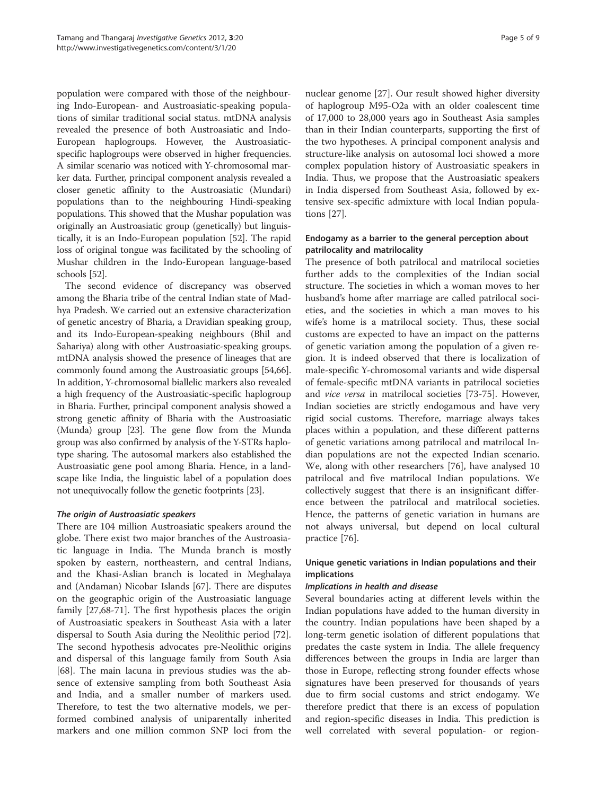population were compared with those of the neighbouring Indo-European- and Austroasiatic-speaking populations of similar traditional social status. mtDNA analysis revealed the presence of both Austroasiatic and Indo-European haplogroups. However, the Austroasiaticspecific haplogroups were observed in higher frequencies. A similar scenario was noticed with Y-chromosomal marker data. Further, principal component analysis revealed a closer genetic affinity to the Austroasiatic (Mundari) populations than to the neighbouring Hindi-speaking populations. This showed that the Mushar population was originally an Austroasiatic group (genetically) but linguistically, it is an Indo-European population [\[52\]](#page-7-0). The rapid loss of original tongue was facilitated by the schooling of Mushar children in the Indo-European language-based schools [[52](#page-7-0)].

The second evidence of discrepancy was observed among the Bharia tribe of the central Indian state of Madhya Pradesh. We carried out an extensive characterization of genetic ancestry of Bharia, a Dravidian speaking group, and its Indo-European-speaking neighbours (Bhil and Sahariya) along with other Austroasiatic-speaking groups. mtDNA analysis showed the presence of lineages that are commonly found among the Austroasiatic groups [\[54,](#page-7-0)[66](#page-8-0)]. In addition, Y-chromosomal biallelic markers also revealed a high frequency of the Austroasiatic-specific haplogroup in Bharia. Further, principal component analysis showed a strong genetic affinity of Bharia with the Austroasiatic (Munda) group [[23](#page-6-0)]. The gene flow from the Munda group was also confirmed by analysis of the Y-STRs haplotype sharing. The autosomal markers also established the Austroasiatic gene pool among Bharia. Hence, in a landscape like India, the linguistic label of a population does not unequivocally follow the genetic footprints [[23\]](#page-6-0).

# The origin of Austroasiatic speakers

There are 104 million Austroasiatic speakers around the globe. There exist two major branches of the Austroasiatic language in India. The Munda branch is mostly spoken by eastern, northeastern, and central Indians, and the Khasi-Aslian branch is located in Meghalaya and (Andaman) Nicobar Islands [\[67](#page-8-0)]. There are disputes on the geographic origin of the Austroasiatic language family [[27,](#page-7-0)[68-71](#page-8-0)]. The first hypothesis places the origin of Austroasiatic speakers in Southeast Asia with a later dispersal to South Asia during the Neolithic period [\[72](#page-8-0)]. The second hypothesis advocates pre-Neolithic origins and dispersal of this language family from South Asia [[68\]](#page-8-0). The main lacuna in previous studies was the absence of extensive sampling from both Southeast Asia and India, and a smaller number of markers used. Therefore, to test the two alternative models, we performed combined analysis of uniparentally inherited markers and one million common SNP loci from the nuclear genome [[27\]](#page-7-0). Our result showed higher diversity of haplogroup M95-O2a with an older coalescent time of 17,000 to 28,000 years ago in Southeast Asia samples than in their Indian counterparts, supporting the first of the two hypotheses. A principal component analysis and structure-like analysis on autosomal loci showed a more complex population history of Austroasiatic speakers in India. Thus, we propose that the Austroasiatic speakers in India dispersed from Southeast Asia, followed by extensive sex-specific admixture with local Indian populations [[27\]](#page-7-0).

# Endogamy as a barrier to the general perception about patrilocality and matrilocality

The presence of both patrilocal and matrilocal societies further adds to the complexities of the Indian social structure. The societies in which a woman moves to her husband's home after marriage are called patrilocal societies, and the societies in which a man moves to his wife's home is a matrilocal society. Thus, these social customs are expected to have an impact on the patterns of genetic variation among the population of a given region. It is indeed observed that there is localization of male-specific Y-chromosomal variants and wide dispersal of female-specific mtDNA variants in patrilocal societies and vice versa in matrilocal societies [[73-75](#page-8-0)]. However, Indian societies are strictly endogamous and have very rigid social customs. Therefore, marriage always takes places within a population, and these different patterns of genetic variations among patrilocal and matrilocal Indian populations are not the expected Indian scenario. We, along with other researchers [[76\]](#page-8-0), have analysed 10 patrilocal and five matrilocal Indian populations. We collectively suggest that there is an insignificant difference between the patrilocal and matrilocal societies. Hence, the patterns of genetic variation in humans are not always universal, but depend on local cultural practice [\[76\]](#page-8-0).

# Unique genetic variations in Indian populations and their implications

### Implications in health and disease

Several boundaries acting at different levels within the Indian populations have added to the human diversity in the country. Indian populations have been shaped by a long-term genetic isolation of different populations that predates the caste system in India. The allele frequency differences between the groups in India are larger than those in Europe, reflecting strong founder effects whose signatures have been preserved for thousands of years due to firm social customs and strict endogamy. We therefore predict that there is an excess of population and region-specific diseases in India. This prediction is well correlated with several population- or region-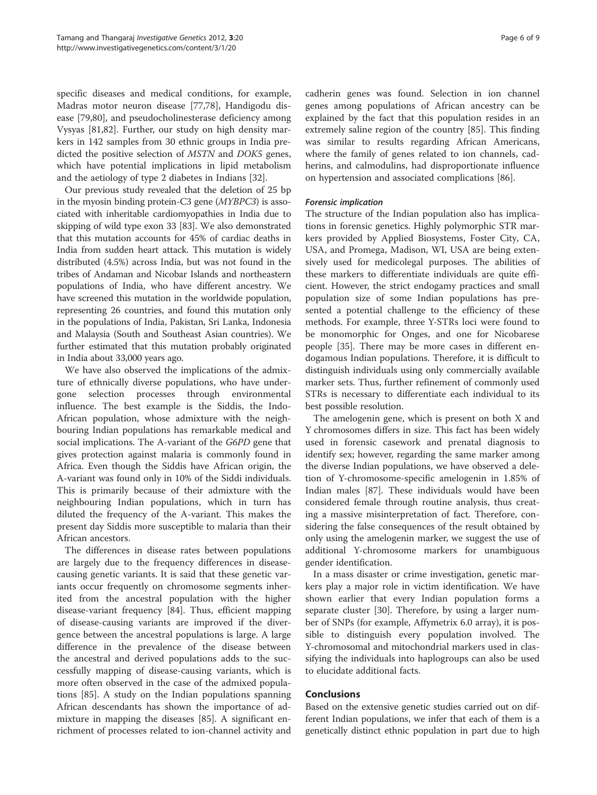specific diseases and medical conditions, for example, Madras motor neuron disease [\[77,78\]](#page-8-0), Handigodu disease [\[79,80](#page-8-0)], and pseudocholinesterase deficiency among Vysyas [\[81,82](#page-8-0)]. Further, our study on high density markers in 142 samples from 30 ethnic groups in India predicted the positive selection of MSTN and DOK5 genes, which have potential implications in lipid metabolism and the aetiology of type 2 diabetes in Indians [[32\]](#page-7-0).

Our previous study revealed that the deletion of 25 bp in the myosin binding protein-C3 gene (MYBPC3) is associated with inheritable cardiomyopathies in India due to skipping of wild type exon 33 [\[83\]](#page-8-0). We also demonstrated that this mutation accounts for 45% of cardiac deaths in India from sudden heart attack. This mutation is widely distributed (4.5%) across India, but was not found in the tribes of Andaman and Nicobar Islands and northeastern populations of India, who have different ancestry. We have screened this mutation in the worldwide population, representing 26 countries, and found this mutation only in the populations of India, Pakistan, Sri Lanka, Indonesia and Malaysia (South and Southeast Asian countries). We further estimated that this mutation probably originated in India about 33,000 years ago.

We have also observed the implications of the admixture of ethnically diverse populations, who have undergone selection processes through environmental influence. The best example is the Siddis, the Indo-African population, whose admixture with the neighbouring Indian populations has remarkable medical and social implications. The A-variant of the G6PD gene that gives protection against malaria is commonly found in Africa. Even though the Siddis have African origin, the A-variant was found only in 10% of the Siddi individuals. This is primarily because of their admixture with the neighbouring Indian populations, which in turn has diluted the frequency of the A-variant. This makes the present day Siddis more susceptible to malaria than their African ancestors.

The differences in disease rates between populations are largely due to the frequency differences in diseasecausing genetic variants. It is said that these genetic variants occur frequently on chromosome segments inherited from the ancestral population with the higher disease-variant frequency [[84\]](#page-8-0). Thus, efficient mapping of disease-causing variants are improved if the divergence between the ancestral populations is large. A large difference in the prevalence of the disease between the ancestral and derived populations adds to the successfully mapping of disease-causing variants, which is more often observed in the case of the admixed populations [[85\]](#page-8-0). A study on the Indian populations spanning African descendants has shown the importance of admixture in mapping the diseases [\[85\]](#page-8-0). A significant enrichment of processes related to ion-channel activity and

cadherin genes was found. Selection in ion channel genes among populations of African ancestry can be explained by the fact that this population resides in an extremely saline region of the country [[85\]](#page-8-0). This finding was similar to results regarding African Americans, where the family of genes related to ion channels, cadherins, and calmodulins, had disproportionate influence on hypertension and associated complications [\[86\]](#page-8-0).

#### Forensic implication

The structure of the Indian population also has implications in forensic genetics. Highly polymorphic STR markers provided by Applied Biosystems, Foster City, CA, USA, and Promega, Madison, WI, USA are being extensively used for medicolegal purposes. The abilities of these markers to differentiate individuals are quite efficient. However, the strict endogamy practices and small population size of some Indian populations has presented a potential challenge to the efficiency of these methods. For example, three Y-STRs loci were found to be monomorphic for Onges, and one for Nicobarese people [\[35\]](#page-7-0). There may be more cases in different endogamous Indian populations. Therefore, it is difficult to distinguish individuals using only commercially available marker sets. Thus, further refinement of commonly used STRs is necessary to differentiate each individual to its best possible resolution.

The amelogenin gene, which is present on both X and Y chromosomes differs in size. This fact has been widely used in forensic casework and prenatal diagnosis to identify sex; however, regarding the same marker among the diverse Indian populations, we have observed a deletion of Y-chromosome-specific amelogenin in 1.85% of Indian males [\[87](#page-8-0)]. These individuals would have been considered female through routine analysis, thus creating a massive misinterpretation of fact. Therefore, considering the false consequences of the result obtained by only using the amelogenin marker, we suggest the use of additional Y-chromosome markers for unambiguous gender identification.

In a mass disaster or crime investigation, genetic markers play a major role in victim identification. We have shown earlier that every Indian population forms a separate cluster [\[30](#page-7-0)]. Therefore, by using a larger number of SNPs (for example, Affymetrix 6.0 array), it is possible to distinguish every population involved. The Y-chromosomal and mitochondrial markers used in classifying the individuals into haplogroups can also be used to elucidate additional facts.

### Conclusions

Based on the extensive genetic studies carried out on different Indian populations, we infer that each of them is a genetically distinct ethnic population in part due to high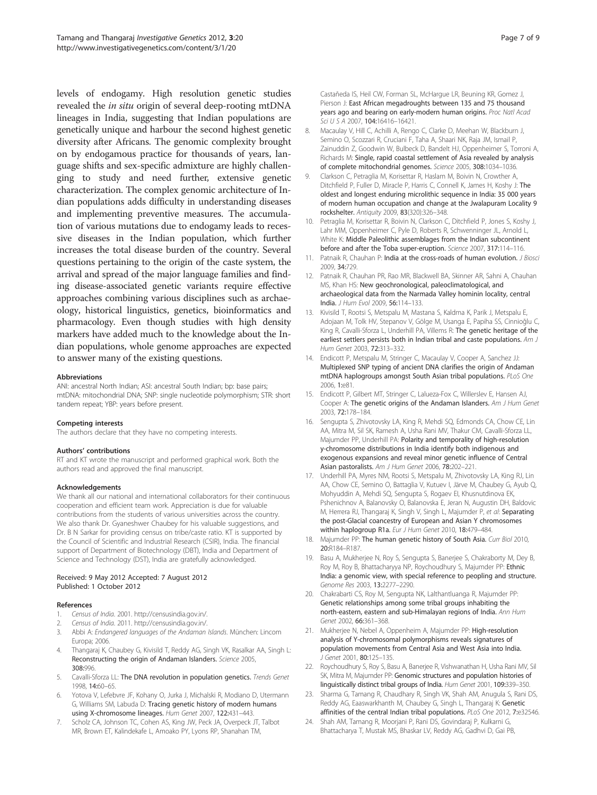<span id="page-6-0"></span>levels of endogamy. High resolution genetic studies revealed the in situ origin of several deep-rooting mtDNA lineages in India, suggesting that Indian populations are genetically unique and harbour the second highest genetic diversity after Africans. The genomic complexity brought on by endogamous practice for thousands of years, language shifts and sex-specific admixture are highly challenging to study and need further, extensive genetic characterization. The complex genomic architecture of Indian populations adds difficulty in understanding diseases and implementing preventive measures. The accumulation of various mutations due to endogamy leads to recessive diseases in the Indian population, which further increases the total disease burden of the country. Several questions pertaining to the origin of the caste system, the arrival and spread of the major language families and finding disease-associated genetic variants require effective approaches combining various disciplines such as archaeology, historical linguistics, genetics, bioinformatics and pharmacology. Even though studies with high density markers have added much to the knowledge about the Indian populations, whole genome approaches are expected to answer many of the existing questions.

#### Abbreviations

ANI: ancestral North Indian; ASI: ancestral South Indian; bp: base pairs; mtDNA: mitochondrial DNA; SNP: single nucleotide polymorphism; STR: short tandem repeat; YBP: years before present.

#### Competing interests

The authors declare that they have no competing interests.

#### Authors' contributions

RT and KT wrote the manuscript and performed graphical work. Both the authors read and approved the final manuscript.

#### Acknowledgements

We thank all our national and international collaborators for their continuous cooperation and efficient team work. Appreciation is due for valuable contributions from the students of various universities across the country. We also thank Dr. Gyaneshwer Chaubey for his valuable suggestions, and Dr. B N Sarkar for providing census on tribe/caste ratio. KT is supported by the Council of Scientific and Industrial Research (CSIR), India. The financial support of Department of Biotechnology (DBT), India and Department of Science and Technology (DST), India are gratefully acknowledged.

#### Received: 9 May 2012 Accepted: 7 August 2012 Published: 1 October 2012

#### References

- 1. Census of India. 2001. http://censusindia.gov.in/.
- 2. Census of India. 2011. http://censusindia.gov.in/.
- 3. Abbi A: Endangered languages of the Andaman Islands. München: Lincom Europa; 2006.
- 4. Thangaraj K, Chaubey G, Kivisild T, Reddy AG, Singh VK, Rasalkar AA, Singh L: Reconstructing the origin of Andaman Islanders. Science 2005, 308:996.
- 5. Cavalli-Sforza LL: The DNA revolution in population genetics. Trends Genet 1998, 14:60–65.
- 6. Yotova V, Lefebvre JF, Kohany O, Jurka J, Michalski R, Modiano D, Utermann G, Williams SM, Labuda D: Tracing genetic history of modern humans using X-chromosome lineages. Hum Genet 2007, 122:431–443.
- 7. Scholz CA, Johnson TC, Cohen AS, King JW, Peck JA, Overpeck JT, Talbot MR, Brown ET, Kalindekafe L, Amoako PY, Lyons RP, Shanahan TM,

Castañeda IS, Heil CW, Forman SL, McHargue LR, Beuning KR, Gomez J, Pierson J: East African megadroughts between 135 and 75 thousand years ago and bearing on early-modern human origins. Proc Natl Acad Sci U S A 2007, 104:16416-16421.

- 8. Macaulay V, Hill C, Achilli A, Rengo C, Clarke D, Meehan W, Blackburn J, Semino O, Scozzari R, Cruciani F, Taha A, Shaari NK, Raja JM, Ismail P, Zainuddin Z, Goodwin W, Bulbeck D, Bandelt HJ, Oppenheimer S, Torroni A, Richards M: Single, rapid coastal settlement of Asia revealed by analysis of complete mitochondrial genomes. Science 2005, 308:1034–1036.
- 9. Clarkson C, Petraglia M, Korisettar R, Haslam M, Boivin N, Crowther A, Ditchfield P, Fuller D, Miracle P, Harris C, Connell K, James H, Koshy J: The oldest and longest enduring microlithic sequence in India: 35 000 years of modern human occupation and change at the Jwalapuram Locality 9 rockshelter. Antiquity 2009, 83(320):326–348.
- 10. Petraglia M, Korisettar R, Boivin N, Clarkson C, Ditchfield P, Jones S, Koshy J, Lahr MM, Oppenheimer C, Pyle D, Roberts R, Schwenninger JL, Arnold L, White K: Middle Paleolithic assemblages from the Indian subcontinent before and after the Toba super-eruption. Science 2007, 317:114–116.
- 11. Patnaik R, Chauhan P: India at the cross-roads of human evolution. J Biosci 2009, 34:729.
- 12. Patnaik R, Chauhan PR, Rao MR, Blackwell BA, Skinner AR, Sahni A, Chauhan MS, Khan HS: New geochronological, paleoclimatological, and archaeological data from the Narmada Valley hominin locality, central India. J Hum Evol 2009, 56:114–133.
- 13. Kivisild T, Rootsi S, Metspalu M, Mastana S, Kaldma K, Parik J, Metspalu E, Adojaan M, Tolk HV, Stepanov V, Gölge M, Usanga E, Papiha SS, Cinnioğlu C, King R, Cavalli-Sforza L, Underhill PA, Villems R: The genetic heritage of the earliest settlers persists both in Indian tribal and caste populations. Am J Hum Genet 2003, 72:313–332.
- 14. Endicott P, Metspalu M, Stringer C, Macaulay V, Cooper A, Sanchez JJ: Multiplexed SNP typing of ancient DNA clarifies the origin of Andaman mtDNA haplogroups amongst South Asian tribal populations. PLoS One 2006, 1:e81.
- 15. Endicott P, Gilbert MT, Stringer C, Lalueza-Fox C, Willerslev E, Hansen AJ, Cooper A: The genetic origins of the Andaman Islanders. Am J Hum Genet 2003, 72:178–184.
- 16. Sengupta S, Zhivotovsky LA, King R, Mehdi SQ, Edmonds CA, Chow CE, Lin AA, Mitra M, Sil SK, Ramesh A, Usha Rani MV, Thakur CM, Cavalli-Sforza LL, Majumder PP, Underhill PA: Polarity and temporality of high-resolution y-chromosome distributions in India identify both indigenous and exogenous expansions and reveal minor genetic influence of Central Asian pastoralists. Am J Hum Genet 2006, 78:202–221.
- 17. Underhill PA, Myres NM, Rootsi S, Metspalu M, Zhivotovsky LA, King RJ, Lin AA, Chow CE, Semino O, Battaglia V, Kutuev I, Järve M, Chaubey G, Ayub Q, Mohyuddin A, Mehdi SQ, Sengupta S, Rogaev EI, Khusnutdinova EK, Pshenichnov A, Balanovsky O, Balanovska E, Jeran N, Augustin DH, Baldovic M, Herrera RJ, Thangaraj K, Singh V, Singh L, Majumder P, et al: Separating the post-Glacial coancestry of European and Asian Y chromosomes within haplogroup R1a. Eur J Hum Genet 2010, 18:479–484.
- 18. Majumder PP: The human genetic history of South Asia. Curr Biol 2010, 20:R184–R187.
- 19. Basu A, Mukherjee N, Roy S, Sengupta S, Banerjee S, Chakraborty M, Dey B, Roy M, Roy B, Bhattacharyya NP, Roychoudhury S, Majumder PP: Ethnic India: a genomic view, with special reference to peopling and structure. Genome Res 2003, 13:2277–2290.
- 20. Chakrabarti CS, Roy M, Sengupta NK, Lalthantluanga R, Majumder PP: Genetic relationships among some tribal groups inhabiting the north-eastern, eastern and sub-Himalayan regions of India. Ann Hum Genet 2002, 66:361–368.
- 21. Mukherjee N, Nebel A, Oppenheim A, Majumder PP: High-resolution analysis of Y-chromosomal polymorphisms reveals signatures of population movements from Central Asia and West Asia into India. J Genet 2001, 80:125-135.
- 22. Roychoudhury S, Roy S, Basu A, Banerjee R, Vishwanathan H, Usha Rani MV, Sil SK, Mitra M, Majumder PP: Genomic structures and population histories of linguistically distinct tribal groups of India. Hum Genet 2001, 109:339–350.
- 23. Sharma G, Tamang R, Chaudhary R, Singh VK, Shah AM, Anugula S, Rani DS, Reddy AG, Eaaswarkhanth M, Chaubey G, Singh L, Thangaraj K: Genetic affinities of the central Indian tribal populations. PLoS One 2012, 7:e32546.
- 24. Shah AM, Tamang R, Moorjani P, Rani DS, Govindaraj P, Kulkarni G, Bhattacharya T, Mustak MS, Bhaskar LV, Reddy AG, Gadhvi D, Gai PB,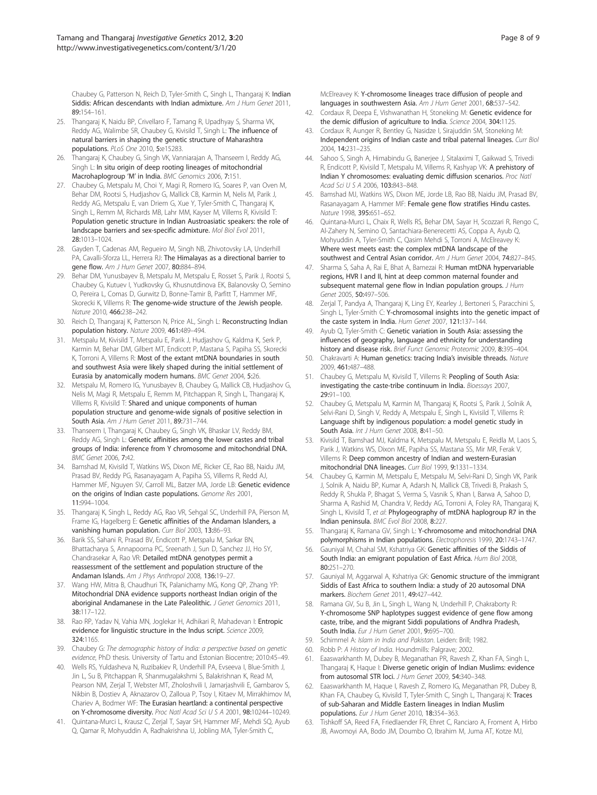<span id="page-7-0"></span>Chaubey G, Patterson N, Reich D, Tyler-Smith C, Singh L, Thangaraj K: Indian Siddis: African descendants with Indian admixture. Am J Hum Genet 2011, 89:154–161.

- 25. Thangaraj K, Naidu BP, Crivellaro F, Tamang R, Upadhyay S, Sharma VK, Reddy AG, Walimbe SR, Chaubey G, Kivisild T, Singh L: The influence of natural barriers in shaping the genetic structure of Maharashtra populations. PLoS One 2010, 5:e15283.
- 26. Thangaraj K, Chaubey G, Singh VK, Vanniarajan A, Thanseem I, Reddy AG, Singh L: In situ origin of deep rooting lineages of mitochondrial Macrohaplogroup 'M' in India. BMC Genomics 2006, 7:151.
- 27. Chaubey G, Metspalu M, Choi Y, Magi R, Romero IG, Soares P, van Oven M, Behar DM, Rootsi S, Hudjashov G, Mallick CB, Karmin M, Nelis M, Parik J, Reddy AG, Metspalu E, van Driem G, Xue Y, Tyler-Smith C, Thangaraj K, Singh L, Remm M, Richards MB, Lahr MM, Kayser M, Villems R, Kivisild T: Population genetic structure in Indian Austroasiatic speakers: the role of landscape barriers and sex-specific admixture. Mol Biol Evol 2011, 28:1013–1024.
- 28. Gayden T, Cadenas AM, Regueiro M, Singh NB, Zhivotovsky LA, Underhill PA, Cavalli-Sforza LL, Herrera RJ: The Himalayas as a directional barrier to gene flow. Am J Hum Genet 2007, 80:884–894.
- 29. Behar DM, Yunusbayev B, Metspalu M, Metspalu E, Rosset S, Parik J, Rootsi S, Chaubey G, Kutuev I, Yudkovsky G, Khusnutdinova EK, Balanovsky O, Semino O, Pereira L, Comas D, Gurwitz D, Bonne-Tamir B, Parfitt T, Hammer MF, Skorecki K, Villems R: The genome-wide structure of the Jewish people. Nature 2010, 466:238–242.
- 30. Reich D, Thangaraj K, Patterson N, Price AL, Singh L: Reconstructing Indian population history. Nature 2009, 461:489–494.
- 31. Metspalu M, Kivisild T, Metspalu E, Parik J, Hudjashov G, Kaldma K, Serk P, Karmin M, Behar DM, Gilbert MT, Endicott P, Mastana S, Papiha SS, Skorecki K, Torroni A, Villems R: Most of the extant mtDNA boundaries in south and southwest Asia were likely shaped during the initial settlement of Eurasia by anatomically modern humans. BMC Genet 2004, 5:26.
- 32. Metspalu M, Romero IG, Yunusbayev B, Chaubey G, Mallick CB, Hudjashov G, Nelis M, Magi R, Metspalu E, Remm M, Pitchappan R, Singh L, Thangaraj K, Villems R, Kivisild T: Shared and unique components of human population structure and genome-wide signals of positive selection in South Asia. Am J Hum Genet 2011, 89:731–744.
- 33. Thanseem I, Thangaraj K, Chaubey G, Singh VK, Bhaskar LV, Reddy BM, Reddy AG, Singh L: Genetic affinities among the lower castes and tribal groups of India: inference from Y chromosome and mitochondrial DNA. BMC Genet 2006, 7:42.
- 34. Bamshad M, Kivisild T, Watkins WS, Dixon ME, Ricker CE, Rao BB, Naidu JM, Prasad BV, Reddy PG, Rasanayagam A, Papiha SS, Villems R, Redd AJ, Hammer MF, Nguyen SV, Carroll ML, Batzer MA, Jorde LB: Genetic evidence on the origins of Indian caste populations. Genome Res 2001, 11:994–1004.
- 35. Thangaraj K, Singh L, Reddy AG, Rao VR, Sehgal SC, Underhill PA, Pierson M, Frame IG, Hagelberg E: Genetic affinities of the Andaman Islanders, a vanishing human population. Curr Biol 2003, 13:86–93.
- 36. Barik SS, Sahani R, Prasad BV, Endicott P, Metspalu M, Sarkar BN, Bhattacharya S, Annapoorna PC, Sreenath J, Sun D, Sanchez JJ, Ho SY, Chandrasekar A, Rao VR: Detailed mtDNA genotypes permit a reassessment of the settlement and population structure of the Andaman Islands. Am J Phys Anthropol 2008, 136:19–27.
- 37. Wang HW, Mitra B, Chaudhuri TK, Palanichamy MG, Kong QP, Zhang YP: Mitochondrial DNA evidence supports northeast Indian origin of the aboriginal Andamanese in the Late Paleolithic. J Genet Genomics 2011, 38:117–122.
- 38. Rao RP, Yadav N, Vahia MN, Joglekar H, Adhikari R, Mahadevan I: Entropic evidence for linguistic structure in the Indus script. Science 2009, 324:1165.
- 39. Chaubey G: The demographic history of India: a perspective based on genetic evidence, PhD thesis. University of Tartu and Estonian Biocentre; 2010:45–49.
- 40. Wells RS, Yuldasheva N, Ruzibakiev R, Underhill PA, Evseeva I, Blue-Smith J, Jin L, Su B, Pitchappan R, Shanmugalakshmi S, Balakrishnan K, Read M, Pearson NM, Zerjal T, Webster MT, Zholoshvili I, Jamarjashvili E, Gambarov S, Nikbin B, Dostiev A, Aknazarov O, Zalloua P, Tsoy I, Kitaev M, Mirrakhimov M, Chariev A, Bodmer WF: The Eurasian heartland: a continental perspective on Y-chromosome diversity. Proc Natl Acad Sci U S A 2001, 98:10244–10249.
- 41. Quintana-Murci L, Krausz C, Zerjal T, Sayar SH, Hammer MF, Mehdi SQ, Ayub Q, Qamar R, Mohyuddin A, Radhakrishna U, Jobling MA, Tyler-Smith C,

McElreavey K: Y-chromosome lineages trace diffusion of people and languages in southwestern Asia. Am J Hum Genet 2001, 68:537–542.

- 42. Cordaux R, Deepa E, Vishwanathan H, Stoneking M: Genetic evidence for the demic diffusion of agriculture to India. Science 2004, 304:1125.
- 43. Cordaux R, Aunger R, Bentley G, Nasidze I, Sirajuddin SM, Stoneking M: Independent origins of Indian caste and tribal paternal lineages. Curr Biol 2004, 14:231–235.
- 44. Sahoo S, Singh A, Himabindu G, Banerjee J, Sitalaximi T, Gaikwad S, Trivedi R, Endicott P, Kivisild T, Metspalu M, Villems R, Kashyap VK: A prehistory of Indian Y chromosomes: evaluating demic diffusion scenarios. Proc Natl Acad Sci U S A 2006, 103:843–848.
- 45. Bamshad MJ, Watkins WS, Dixon ME, Jorde LB, Rao BB, Naidu JM, Prasad BV, Rasanayagam A, Hammer MF: Female gene flow stratifies Hindu castes. Nature 1998, 395:651-652.
- Quintana-Murci L, Chaix R, Wells RS, Behar DM, Sayar H, Scozzari R, Rengo C, Al-Zahery N, Semino O, Santachiara-Benerecetti AS, Coppa A, Ayub Q, Mohyuddin A, Tyler-Smith C, Qasim Mehdi S, Torroni A, McElreavey K: Where west meets east: the complex mtDNA landscape of the southwest and Central Asian corridor. Am J Hum Genet 2004, **74:**827-845.
- 47. Sharma S, Saha A, Rai E, Bhat A, Bamezai R: Human mtDNA hypervariable regions, HVR I and II, hint at deep common maternal founder and subsequent maternal gene flow in Indian population groups. J Hum Genet 2005, 50:497–506.
- 48. Zerjal T, Pandya A, Thangaraj K, Ling EY, Kearley J, Bertoneri S, Paracchini S, Singh L, Tyler-Smith C: Y-chromosomal insights into the genetic impact of the caste system in India. Hum Genet 2007, 121:137–144.
- 49. Ayub Q, Tyler-Smith C: Genetic variation in South Asia: assessing the influences of geography, language and ethnicity for understanding history and disease risk. Brief Funct Genomic Proteomic 2009, 8:395–404.
- 50. Chakravarti A: Human genetics: tracing India's invisible threads. Nature 2009, 461:487–488.
- 51. Chaubey G, Metspalu M, Kivisild T, Villems R: Peopling of South Asia: investigating the caste-tribe continuum in India. Bioessays 2007, 29:91–100.
- 52. Chaubey G, Metspalu M, Karmin M, Thangaraj K, Rootsi S, Parik J, Solnik A, Selvi-Rani D, Singh V, Reddy A, Metspalu E, Singh L, Kivisild T, Villems R: Language shift by indigenous population: a model genetic study in South Asia. Int J Hum Genet 2008, 8:41–50.
- 53. Kivisild T, Bamshad MJ, Kaldma K, Metspalu M, Metspalu E, Reidla M, Laos S, Parik J, Watkins WS, Dixon ME, Papiha SS, Mastana SS, Mir MR, Ferak V, Villems R: Deep common ancestry of Indian and western-Eurasian mitochondrial DNA lineages. Curr Biol 1999, 9:1331–1334.
- 54. Chaubey G, Karmin M, Metspalu E, Metspalu M, Selvi-Rani D, Singh VK, Parik J, Solnik A, Naidu BP, Kumar A, Adarsh N, Mallick CB, Trivedi B, Prakash S, Reddy R, Shukla P, Bhagat S, Verma S, Vasnik S, Khan I, Barwa A, Sahoo D, Sharma A, Rashid M, Chandra V, Reddy AG, Torroni A, Foley RA, Thangaraj K, Singh L, Kivisild T, et al: Phylogeography of mtDNA haplogroup R7 in the Indian peninsula. BMC Evol Biol 2008, 8:227.
- 55. Thangaraj K, Ramana GV, Singh L: Y-chromosome and mitochondrial DNA polymorphisms in Indian populations. Electrophoresis 1999, 20:1743-1747.
- 56. Gauniyal M, Chahal SM, Kshatriya GK: Genetic affinities of the Siddis of South India: an emigrant population of East Africa. Hum Biol 2008, 80:251–270.
- 57. Gauniyal M, Aggarwal A, Kshatriya GK: Genomic structure of the immigrant Siddis of East Africa to southern India: a study of 20 autosomal DNA markers. Biochem Genet 2011, 49:427–442.
- 58. Ramana GV, Su B, Jin L, Singh L, Wang N, Underhill P, Chakraborty R: Y-chromosome SNP haplotypes suggest evidence of gene flow among caste, tribe, and the migrant Siddi populations of Andhra Pradesh, South India. Eur J Hum Genet 2001, 9:695–700.
- 59. Schimmel A: Islam in India and Pakistan. Leiden: Brill; 1982.
- 60. Robb P: A History of India. Houndmills: Palgrave; 2002.
- 61. Eaaswarkhanth M, Dubey B, Meganathan PR, Ravesh Z, Khan FA, Singh L, Thangaraj K, Haque I: Diverse genetic origin of Indian Muslims: evidence from autosomal STR loci. J Hum Genet 2009, 54:340-348.
- 62. Eaaswarkhanth M, Haque I, Ravesh Z, Romero IG, Meganathan PR, Dubey B, Khan FA, Chaubey G, Kivisild T, Tyler-Smith C, Singh L, Thangaraj K: Traces of sub-Saharan and Middle Eastern lineages in Indian Muslim populations. Eur J Hum Genet 2010, 18:354–363.
- 63. Tishkoff SA, Reed FA, Friedlaender FR, Ehret C, Ranciaro A, Froment A, Hirbo JB, Awomoyi AA, Bodo JM, Doumbo O, Ibrahim M, Juma AT, Kotze MJ,